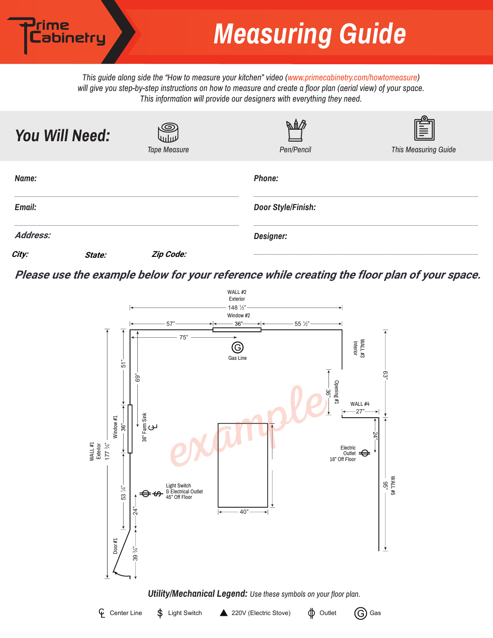*This guide along side the "How to measure your kitchen" video (www.primecabinetry.com/howtomeasure) will give you step-by-step instructions on how to measure and create a floor plan (aerial view) of your space. This information will provide our designers with everything they need.* 

<sup>)</sup>rime<br>Labinetry

| You Will Need:  |        | ©<br>لاراريه<br><b>Tape Measure</b> | <b>BAB</b><br>Pen/Pencil | <b>This Measuring Guide</b> |
|-----------------|--------|-------------------------------------|--------------------------|-----------------------------|
| Name:           |        |                                     | Phone:                   |                             |
| <b>Email:</b>   |        |                                     | Door Style/Finish:       |                             |
| <b>Address:</b> |        |                                     | Designer:                |                             |
| City:           | State: | Zip Code:                           |                          |                             |

**Please use the example below for your reference while creating the floor plan of your space.**

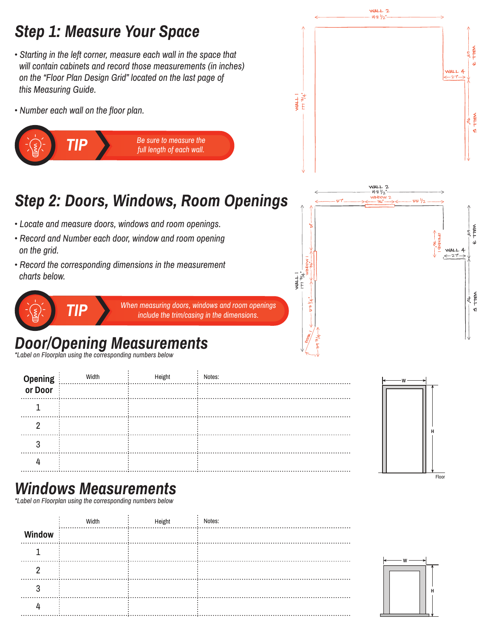

|                    | Width | Height | Notes: |
|--------------------|-------|--------|--------|
| Opening<br>or Door |       |        |        |
|                    |       |        |        |
|                    |       |        |        |
|                    |       |        |        |
|                    |       |        |        |

## *Windows Measurements*

*\*Label on Floorplan using the corresponding numbers below*

|        | Width | Height | Notes: |
|--------|-------|--------|--------|
| Window |       |        |        |
|        |       |        |        |
|        |       |        |        |
|        |       |        |        |
|        |       |        |        |
|        |       |        |        |



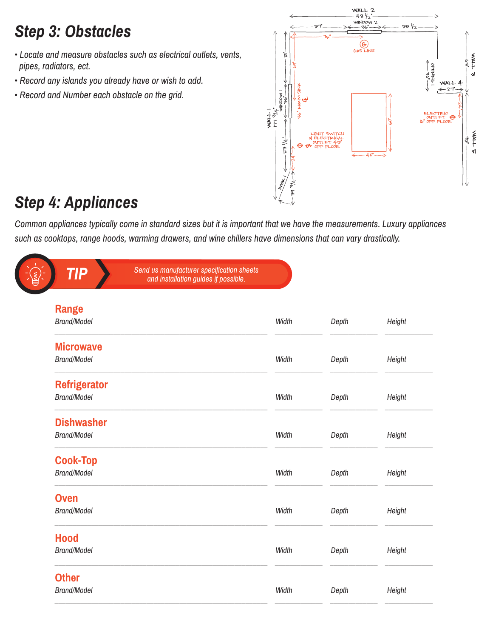# *Step 3: Obstacles*

- *Locate and measure obstacles such as electrical outlets, vents, pipes, radiators, ect.*
- *Record any islands you already have or wish to add.*
- *Record and Number each obstacle on the grid.*



## *Step 4: Appliances*

*Common appliances typically come in standard sizes but it is important that we have the measurements. Luxury appliances such as cooktops, range hoods, warming drawers, and wine chillers have dimensions that can vary drastically.* 

| Send us manufacturer specification sheets<br><b>TIP</b><br>and installation guides if possible. |       |       |        |
|-------------------------------------------------------------------------------------------------|-------|-------|--------|
| <b>Range</b>                                                                                    |       |       |        |
| <b>Brand/Model</b>                                                                              | Width | Depth | Height |
| <b>Microwave</b>                                                                                |       |       |        |
| <b>Brand/Model</b>                                                                              | Width | Depth | Height |
| <b>Refrigerator</b>                                                                             |       |       |        |
| <b>Brand/Model</b>                                                                              | Width | Depth | Height |
| <b>Dishwasher</b>                                                                               |       |       |        |
| <b>Brand/Model</b>                                                                              | Width | Depth | Height |
| <b>Cook-Top</b>                                                                                 |       |       |        |
| <b>Brand/Model</b>                                                                              | Width | Depth | Height |
| <b>Oven</b>                                                                                     |       |       |        |
| <b>Brand/Model</b>                                                                              | Width | Depth | Height |
| <b>Hood</b>                                                                                     |       |       |        |
| <b>Brand/Model</b>                                                                              | Width | Depth | Height |
| <b>Other</b>                                                                                    |       |       |        |
| <b>Brand/Model</b>                                                                              | Width | Depth | Height |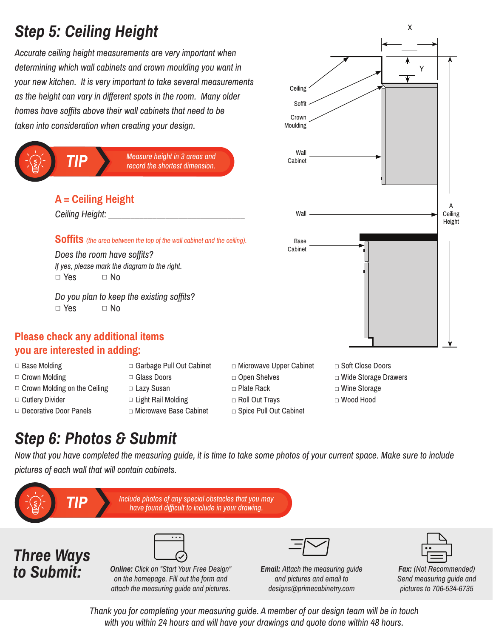# *Step 5: Ceiling Height*

*Accurate ceiling height measurements are very important when determining which wall cabinets and crown moulding you want in your new kitchen. It is very important to take several measurements as the height can vary in different spots in the room. Many older homes have soffits above their wall cabinets that need to be taken into consideration when creating your design.* 



- □ Base Molding
- □ Crown Molding
- $\Box$  Crown Molding on the Ceiling
- □ Cutlery Divider
- □ Decorative Door Panels
- □ Garbage Pull Out Cabinet □ Glass Doors
- □ Lazy Susan
- □ Light Rail Molding
	- □ Microwave Base Cabinet
- - □ Soft Close Doors
	- □ Wide Storage Drawers
	- □ Wine Storage
	- □ Wood Hood

#### *Step 6: Photos & Submit*

*Now that you have completed the measuring guide, it is time to take some photos of your current space. Make sure to include pictures of each wall that will contain cabinets.* 



*with you within 24 hours and will have your drawings and quote done within 48 hours.* 

□ Microwave Upper Cabinet □ Open Shelves □ Plate Rack

Ceiling Soffit Crown Moulding

- 
- □ Roll Out Trays □ Spice Pull Out Cabinet

X

Y

A Ceiling Height